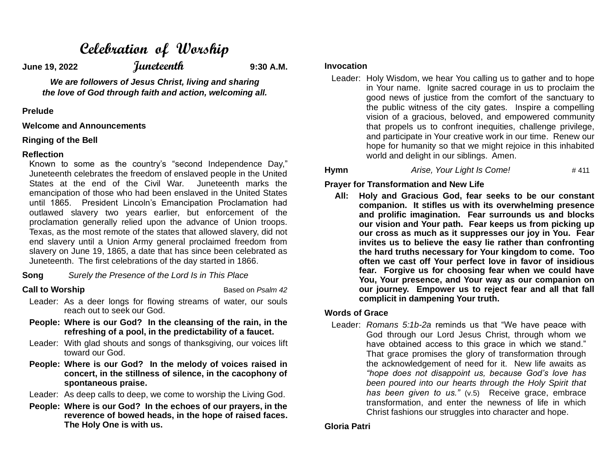# **Celebration of Worship**

**June 19, 2022 Juneteenth 9:30 A.M.**

*We are followers of Jesus Christ, living and sharing the love of God through faith and action, welcoming all.*

**Prelude**

#### **Welcome and Announcements**

# **Ringing of the Bell**

# **Reflection**

Known to some as the country's "second Independence Day," Juneteenth celebrates the freedom of enslaved people in the United States at the end of the Civil War. Juneteenth marks the emancipation of those who had been enslaved in the United States until 1865. President Lincoln's Emancipation Proclamation had outlawed slavery two years earlier, but enforcement of the proclamation generally relied upon the advance of Union troops. Texas, as the most remote of the states that allowed slavery, did not end slavery until a Union Army general proclaimed freedom from slavery on June 19, 1865, a date that has since been celebrated as Juneteenth. The first celebrations of the day started in 1866.

# **Song** *Surely the Presence of the Lord Is in This Place*

**Call to Worship Call to Worship Based on** *Psalm 42* 

- Leader: As a deer longs for flowing streams of water, our souls reach out to seek our God.
- **People: Where is our God? In the cleansing of the rain, in the refreshing of a pool, in the predictability of a faucet.**
- Leader: With glad shouts and songs of thanksgiving, our voices lift toward our God.
- **People: Where is our God? In the melody of voices raised in concert, in the stillness of silence, in the cacophony of spontaneous praise.**
- Leader: As deep calls to deep, we come to worship the Living God.
- **People: Where is our God? In the echoes of our prayers, in the reverence of bowed heads, in the hope of raised faces. The Holy One is with us.**

# **Invocation**

 Leader: Holy Wisdom, we hear You calling us to gather and to hope in Your name. Ignite sacred courage in us to proclaim the good news of justice from the comfort of the sanctuary to the public witness of the city gates. Inspire a compelling vision of a gracious, beloved, and empowered community that propels us to confront inequities, challenge privilege, and participate in Your creative work in our time. Renew our hope for humanity so that we might rejoice in this inhabited world and delight in our siblings. Amen.

# **Hymn** *Arise, Your Light Is Come!* **# 411**

# **Prayer for Transformation and New Life**

 **All: Holy and Gracious God, fear seeks to be our constant companion. It stifles us with its overwhelming presence and prolific imagination. Fear surrounds us and blocks our vision and Your path. Fear keeps us from picking up our cross as much as it suppresses our joy in You. Fear invites us to believe the easy lie rather than confronting the hard truths necessary for Your kingdom to come. Too often we cast off Your perfect love in favor of insidious fear. Forgive us for choosing fear when we could have You, Your presence, and Your way as our companion on our journey. Empower us to reject fear and all that fall complicit in dampening Your truth.**

# **Words of Grace**

Leader: *Romans 5:1b-2a* reminds us that "We have peace with God through our Lord Jesus Christ, through whom we have obtained access to this grace in which we stand." That grace promises the glory of transformation through the acknowledgement of need for it. New life awaits as *"hope does not disappoint us, because God's love has been poured into our hearts through the Holy Spirit that has been given to us."* (v.5) Receive grace, embrace transformation, and enter the newness of life in which Christ fashions our struggles into character and hope.

**Gloria Patri**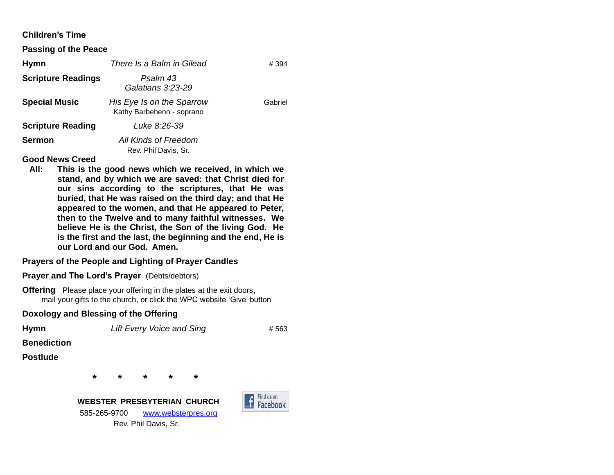# **Children's Time**

#### **Passing of the Peace**

| <b>Hymn</b>                                | There Is a Balm in Gilead                              | #394    |
|--------------------------------------------|--------------------------------------------------------|---------|
| <b>Scripture Readings</b>                  | Psalm 43<br>Galatians 3:23-29                          |         |
| <b>Special Music</b>                       | His Eye Is on the Sparrow<br>Kathy Barbehenn - soprano | Gabriel |
| <b>Scripture Reading</b>                   | <i>Luke 8:26-39</i>                                    |         |
| <b>Sermon</b><br><b>Canal Marrie Crood</b> | All Kinds of Freedom<br>Rev. Phil Davis, Sr.           |         |

**Good News Creed**

 **All: This is the good news which we received, in which we stand, and by which we are saved: that Christ died for our sins according to the scriptures, that He was buried, that He was raised on the third day; and that He appeared to the women, and that He appeared to Peter, then to the Twelve and to many faithful witnesses. We believe He is the Christ, the Son of the living God. He is the first and the last, the beginning and the end, He is our Lord and our God. Amen.**

**Prayers of the People and Lighting of Prayer Candles**

**Prayer and The Lord's Prayer** (Debts/debtors)

**Offering** Please place your offering in the plates at the exit doors, mail your gifts to the church, or click the WPC website 'Give' button

**Doxology and Blessing of the Offering**

| <b>Hymn</b>        | Lift Every Voice and Sing |         |   |         |                             | #563                     |
|--------------------|---------------------------|---------|---|---------|-----------------------------|--------------------------|
| <b>Benediction</b> |                           |         |   |         |                             |                          |
| <b>Postlude</b>    |                           |         |   |         |                             |                          |
|                    | $\star$                   | $\star$ | * | $\star$ | *                           |                          |
|                    |                           |         |   |         | WEBSTER PRESBYTERIAN CHURCH | Find us on<br>Perchants. |

 585-265-9700 [www.websterpres.org](http://www.websterpres.org/) Rev. Phil Davis, Sr.

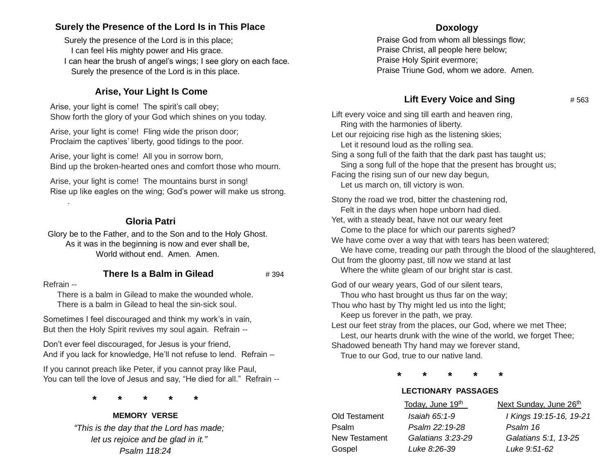# **Surely the Presence of the Lord Is in This Place**

Surely the presence of the Lord is in this place; I can feel His mighty power and His grace. I can hear the brush of angel's wings; I see glory on each face. Surely the presence of the Lord is in this place.

# **Arise, Your Light Is Come**

Arise, your light is come! The spirit's call obey; Show forth the glory of your God which shines on you today.

Arise, your light is come! Fling wide the prison door; Proclaim the captives' liberty, good tidings to the poor.

Arise, your light is come! All you in sorrow born, Bind up the broken-hearted ones and comfort those who mourn.

Arise, your light is come! The mountains burst in song! Rise up like eagles on the wing; God's power will make us strong.

# **Gloria Patri**

Glory be to the Father, and to the Son and to the Holy Ghost. As it was in the beginning is now and ever shall be, World without end. Amen. Amen.

# **There Is a Balm in Gilead** # 394

Refrain --

.

There is a balm in Gilead to make the wounded whole. There is a balm in Gilead to heal the sin-sick soul.

Sometimes I feel discouraged and think my work's in vain, But then the Holy Spirit revives my soul again. Refrain --

Don't ever feel discouraged, for Jesus is your friend, And if you lack for knowledge, He'll not refuse to lend. Refrain –

If you cannot preach like Peter, if you cannot pray like Paul, You can tell the love of Jesus and say, "He died for all." Refrain --

**\* \* \* \* \***

**MEMORY VERSE** *"This is the day that the Lord has made; let us rejoice and be glad in it." Psalm 118:24*

# **Doxology**

Praise God from whom all blessings flow; Praise Christ, all people here below; Praise Holy Spirit evermore; Praise Triune God, whom we adore. Amen.

# **Lift Every Voice and Sing # 563**

Lift every voice and sing till earth and heaven ring, Ring with the harmonies of liberty. Let our rejoicing rise high as the listening skies; Let it resound loud as the rolling sea. Sing a song full of the faith that the dark past has taught us; Sing a song full of the hope that the present has brought us; Facing the rising sun of our new day begun, Let us march on, till victory is won. Stony the road we trod, bitter the chastening rod, Felt in the days when hope unborn had died. Yet, with a steady beat, have not our weary feet Come to the place for which our parents sighed? We have come over a way that with tears has been watered; We have come, treading our path through the blood of the slaughtered, Out from the gloomy past, till now we stand at last Where the white gleam of our bright star is cast. God of our weary years, God of our silent tears, Thou who hast brought us thus far on the way;

Thou who hast by Thy might led us into the light; Keep us forever in the path, we pray.

Lest our feet stray from the places, our God, where we met Thee; Lest, our hearts drunk with the wine of the world, we forget Thee;

Shadowed beneath Thy hand may we forever stand,

True to our God, true to our native land.

**\* \* \* \* \***

## **LECTIONARY PASSAGES**

Today, June 19<sup>th</sup> Next Sunday, June 26th Old Testament *Isaiah 65:1-9 I Kings 19:15-16, 19-21* Psalm *Psalm 22:19-28 Psalm 16* New Testament *Galatians 3:23-29 Galatians 5:1, 13-25* Gospel *Luke 8:26-39 Luke 9:51-62*